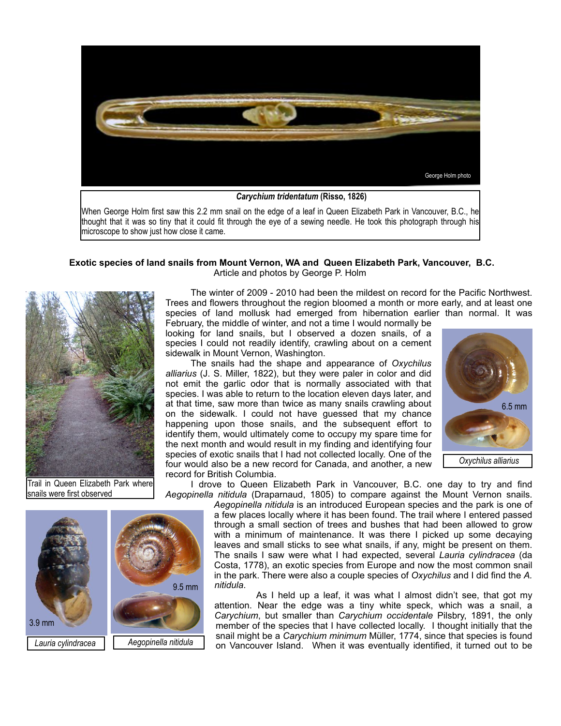

thought that it was so tiny that it could fit through the eye of a sewing needle. He took this photograph through his microscope to show just how close it came.

## **Exotic species of land snails from Mount Vernon, WA and Queen Elizabeth Park, Vancouver, B.C.** Article and photos by George P. Holm



Trail in Queen Elizabeth Park where snails were first observed

 The winter of 2009 - 2010 had been the mildest on record for the Pacific Northwest. Trees and flowers throughout the region bloomed a month or more early, and at least one species of land mollusk had emerged from hibernation earlier than normal. It was February, the middle of winter, and not a time I would normally be

looking for land snails, but I observed a dozen snails, of a species I could not readily identify, crawling about on a cement sidewalk in Mount Vernon, Washington.

 The snails had the shape and appearance of *Oxychilus alliarius* (J. S. Miller, 1822), but they were paler in color and did not emit the garlic odor that is normally associated with that species. I was able to return to the location eleven days later, and at that time, saw more than twice as many snails crawling about on the sidewalk. I could not have guessed that my chance happening upon those snails, and the subsequent effort to identify them, would ultimately come to occupy my spare time for the next month and would result in my finding and identifying four species of exotic snails that I had not collected locally. One of the four would also be a new record for Canada, and another, a new record for British Columbia.



 I drove to Queen Elizabeth Park in Vancouver, B.C. one day to try and find *Aegopinella nitidula* (Draparnaud, 1805) to compare against the Mount Vernon snails.

*Aegopinella nitidula* is an introduced European species and the park is one of a few places locally where it has been found. The trail where I entered passed through a small section of trees and bushes that had been allowed to grow with a minimum of maintenance. It was there I picked up some decaying leaves and small sticks to see what snails, if any, might be present on them. The snails I saw were what I had expected, several *Lauria cylindracea* (da Costa, 1778), an exotic species from Europe and now the most common snail in the park. There were also a couple species of *Oxychilus* and I did find the *A. nitidula*.

 As I held up a leaf, it was what I almost didn't see, that got my attention. Near the edge was a tiny white speck, which was a snail, a *Carychium*, but smaller than *Carychium occidentale* Pilsbry, 1891, the only member of the species that I have collected locally. I thought initially that the snail might be a *Carychium minimum* Müller, 1774, since that species is found on Vancouver Island. When it was eventually identified, it turned out to be